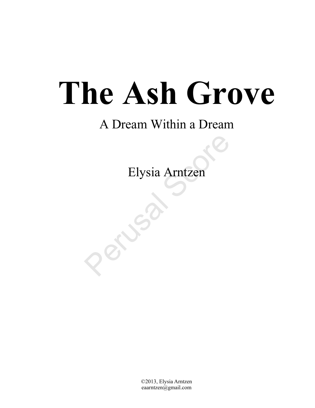## A Dream Within a Dream

Elysia Arntzen Elysia Amtzen

> ©2013, Elysia Arntzen eaarntzen@gmail.com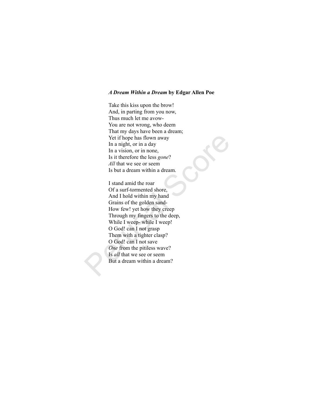## *A Dream Within a Dream* **by Edgar Allen Poe**

Take this kiss upon the brow! And, in parting from you now, Thus much let me avow-You are not wrong, who deem That my days have been a dream; Yet if hope has flown away In a night, or in a day In a vision, or in none, Is it therefore the less *gone*? *All* that we see or seem Is but a dream within a dream.

I stand amid the roar Of a surf-tormented shore, And I hold within my hand Grains of the golden sand-How few! yet how they creep Through my fingers to the deep, While I weep- while I weep! O God! can I not grasp Them with a tighter clasp? O God! can I not save *One* from the pitiless wave? Is *all* that we see or seem But a dream within a dream? Yet if hope has flown away<br>
In a night, or in a day<br>
In a vision, or in none,<br>
Is it therefore the less *gone?*<br>
All that we see or seem<br>
Is but a dream within a dream.<br>
I stand amid the roar<br>
Of a surf-tormented shore,<br>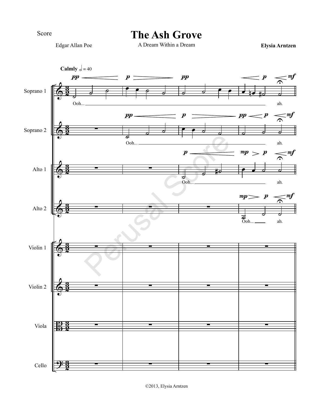Score

## **The Ash Grove**

Edgar Allan Poe A Dream Within a Dream

**Elysia Arntzen**

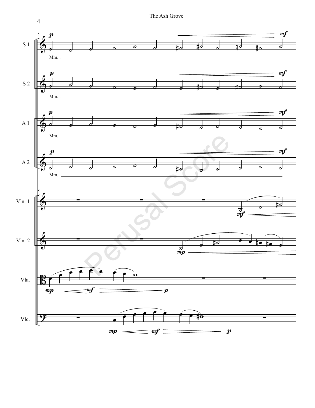The Ash Grove



4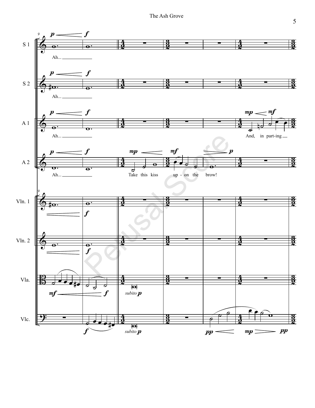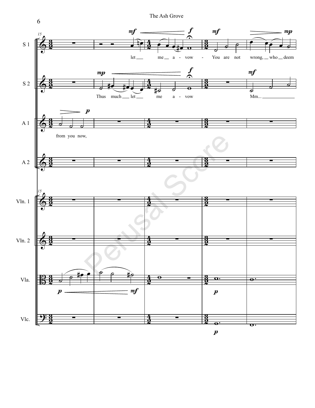

 $\boldsymbol{p}$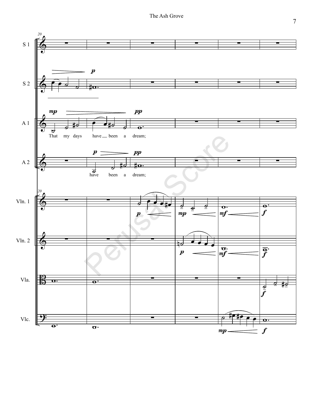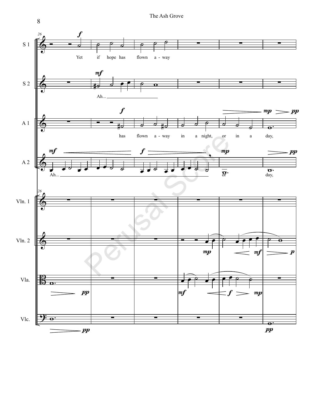The Ash Grove

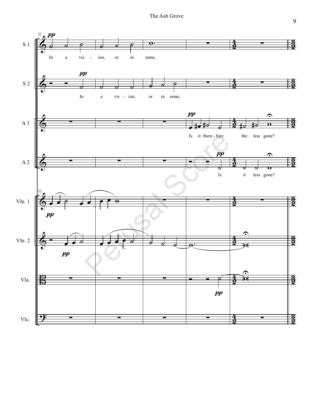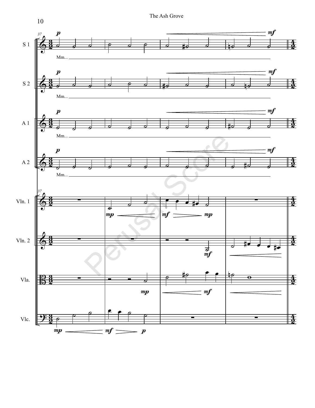

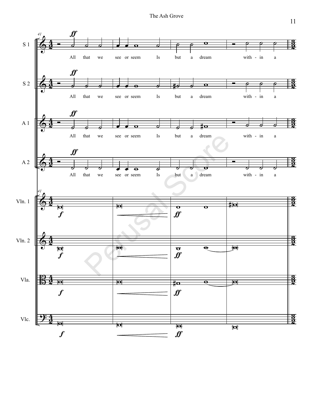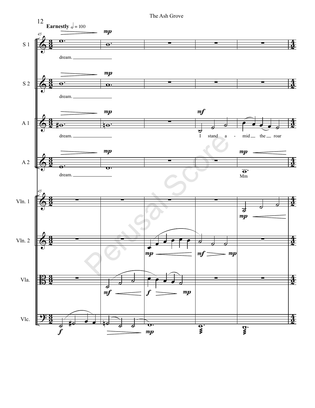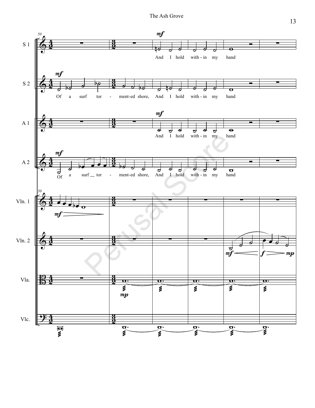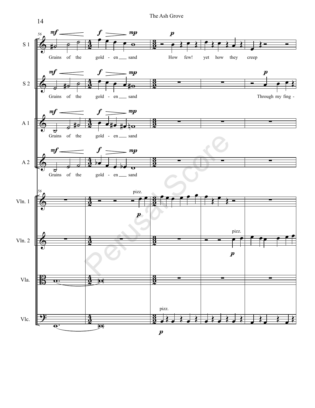

 $\boldsymbol{p}$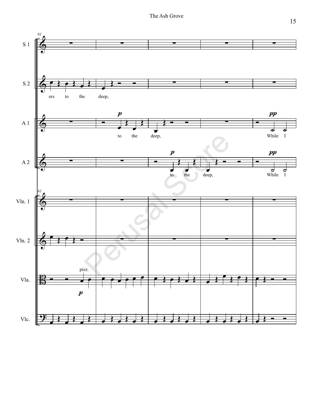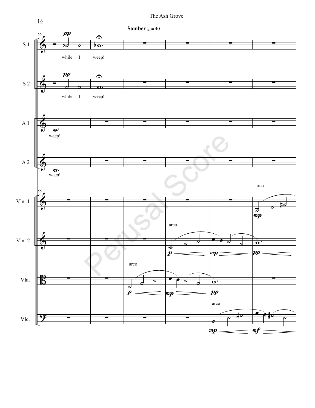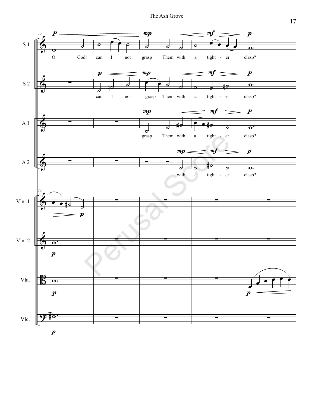

 $17\,$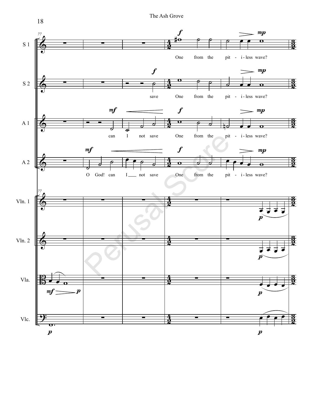

18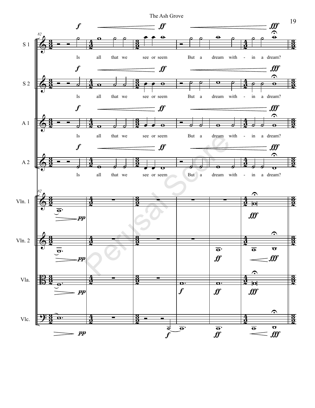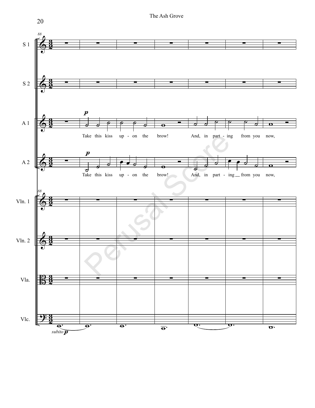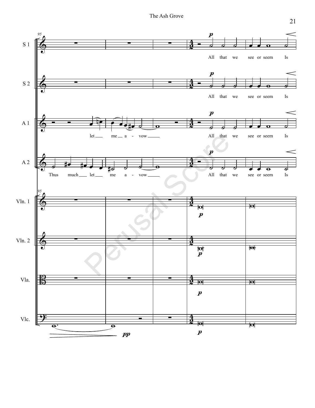

21